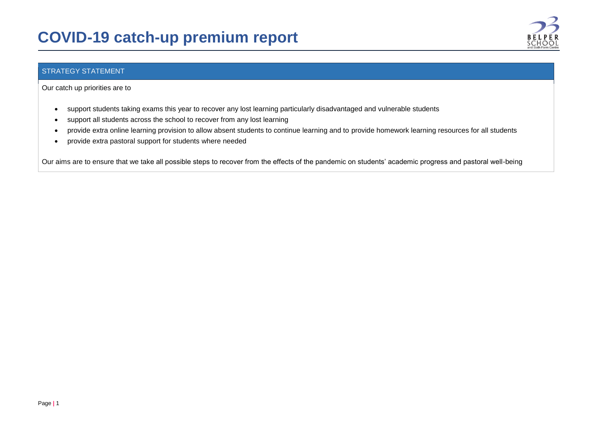## **COVID-19 catch-up premium report**



## STRATEGY STATEMENT

Our catch up priorities are to

- support students taking exams this year to recover any lost learning particularly disadvantaged and vulnerable students
- support all students across the school to recover from any lost learning
- provide extra online learning provision to allow absent students to continue learning and to provide homework learning resources for all students
- provide extra pastoral support for students where needed

Our aims are to ensure that we take all possible steps to recover from the effects of the pandemic on students' academic progress and pastoral well-being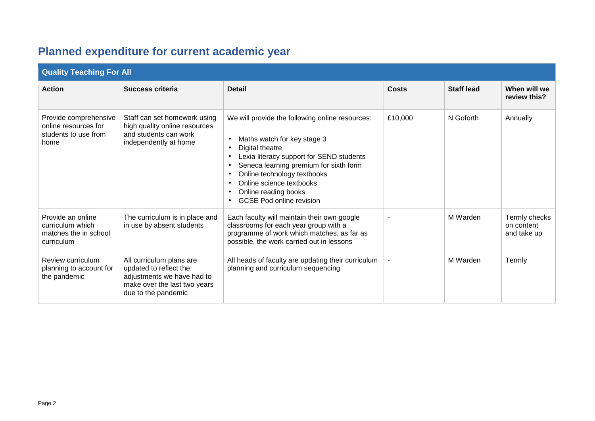## **Planned expenditure for current academic year**

| <b>Quality Teaching For All</b>                                               |                                                                                                                                         |                                                                                                                                                                                                                                                                                                               |                          |                   |                                            |  |  |
|-------------------------------------------------------------------------------|-----------------------------------------------------------------------------------------------------------------------------------------|---------------------------------------------------------------------------------------------------------------------------------------------------------------------------------------------------------------------------------------------------------------------------------------------------------------|--------------------------|-------------------|--------------------------------------------|--|--|
| <b>Action</b>                                                                 | Success criteria                                                                                                                        | <b>Detail</b>                                                                                                                                                                                                                                                                                                 | Costs                    | <b>Staff lead</b> | When will we<br>review this?               |  |  |
| Provide comprehensive<br>online resources for<br>students to use from<br>home | Staff can set homework using<br>high quality online resources<br>and students can work<br>independently at home                         | We will provide the following online resources:<br>Maths watch for key stage 3<br>Digital theatre<br>Lexia literacy support for SEND students<br>Seneca learning premium for sixth form<br>Online technology textbooks<br>Online science textbooks<br>Online reading books<br><b>GCSE Pod online revision</b> | £10,000                  | N Goforth         | Annually                                   |  |  |
| Provide an online<br>curriculum which<br>matches the in school<br>curriculum  | The curriculum is in place and<br>in use by absent students                                                                             | Each faculty will maintain their own google<br>classrooms for each year group with a<br>programme of work which matches, as far as<br>possible, the work carried out in lessons                                                                                                                               | $\overline{\phantom{a}}$ | M Warden          | Termly checks<br>on content<br>and take up |  |  |
| Review curriculum<br>planning to account for<br>the pandemic                  | All curriculum plans are<br>updated to reflect the<br>adjustments we have had to<br>make over the last two years<br>due to the pandemic | All heads of faculty are updating their curriculum<br>planning and curriculum sequencing                                                                                                                                                                                                                      |                          | M Warden          | Termly                                     |  |  |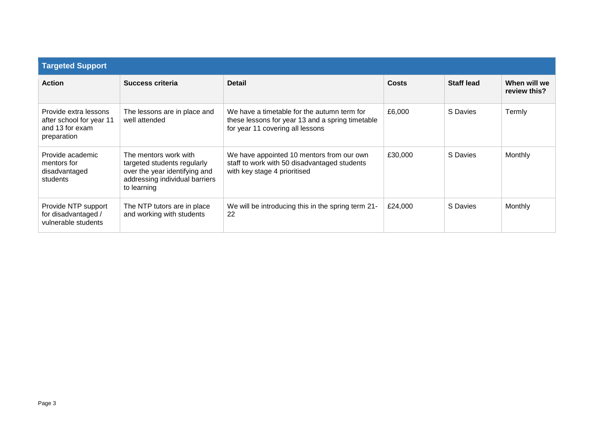| <b>Targeted Support</b>                                                             |                                                                                                                                        |                                                                                                                                     |         |                   |                              |  |  |  |
|-------------------------------------------------------------------------------------|----------------------------------------------------------------------------------------------------------------------------------------|-------------------------------------------------------------------------------------------------------------------------------------|---------|-------------------|------------------------------|--|--|--|
| <b>Action</b>                                                                       | Success criteria                                                                                                                       | <b>Detail</b>                                                                                                                       | Costs   | <b>Staff lead</b> | When will we<br>review this? |  |  |  |
| Provide extra lessons<br>after school for year 11<br>and 13 for exam<br>preparation | The lessons are in place and<br>well attended                                                                                          | We have a timetable for the autumn term for<br>these lessons for year 13 and a spring timetable<br>for year 11 covering all lessons | £6,000  | S Davies          | Termly                       |  |  |  |
| Provide academic<br>mentors for<br>disadvantaged<br>students                        | The mentors work with<br>targeted students regularly<br>over the year identifying and<br>addressing individual barriers<br>to learning | We have appointed 10 mentors from our own<br>staff to work with 50 disadvantaged students<br>with key stage 4 prioritised           | £30,000 | S Davies          | Monthly                      |  |  |  |
| Provide NTP support<br>for disadvantaged /<br>vulnerable students                   | The NTP tutors are in place<br>and working with students                                                                               | We will be introducing this in the spring term 21-<br>22                                                                            | £24,000 | S Davies          | Monthly                      |  |  |  |